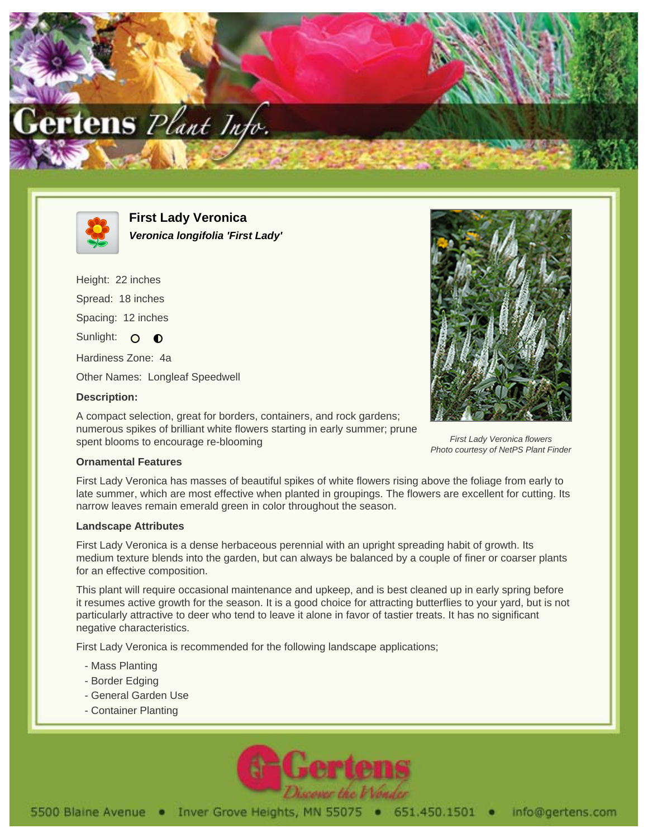



**First Lady Veronica Veronica longifolia 'First Lady'**

Height: 22 inches Spread: 18 inches Spacing: 12 inches Sunlight: O  $\bullet$ Hardiness Zone: 4a Other Names: Longleaf Speedwell **Description:**

A compact selection, great for borders, containers, and rock gardens; numerous spikes of brilliant white flowers starting in early summer; prune spent blooms to encourage re-blooming



First Lady Veronica flowers Photo courtesy of NetPS Plant Finder

## **Ornamental Features**

First Lady Veronica has masses of beautiful spikes of white flowers rising above the foliage from early to late summer, which are most effective when planted in groupings. The flowers are excellent for cutting. Its narrow leaves remain emerald green in color throughout the season.

## **Landscape Attributes**

First Lady Veronica is a dense herbaceous perennial with an upright spreading habit of growth. Its medium texture blends into the garden, but can always be balanced by a couple of finer or coarser plants for an effective composition.

This plant will require occasional maintenance and upkeep, and is best cleaned up in early spring before it resumes active growth for the season. It is a good choice for attracting butterflies to your yard, but is not particularly attractive to deer who tend to leave it alone in favor of tastier treats. It has no significant negative characteristics.

First Lady Veronica is recommended for the following landscape applications;

- Mass Planting
- Border Edging
- General Garden Use
- Container Planting